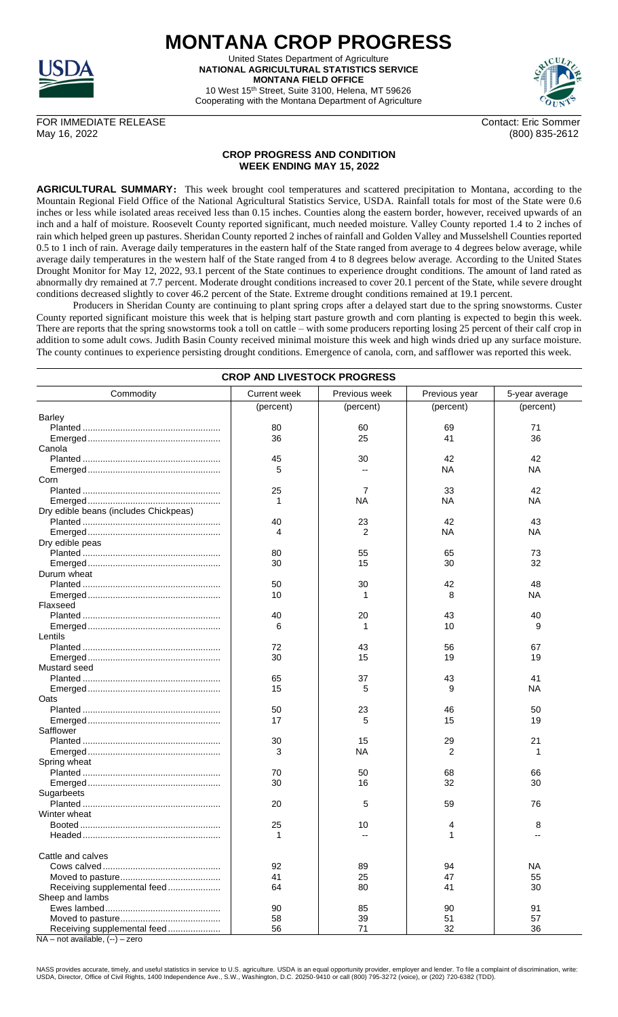

**MONTANA CROP PROGRESS** United States Department of Agriculture

**NATIONAL AGRICULTURAL STATISTICS SERVICE MONTANA FIELD OFFICE** 10 West 15th Street, Suite 3100, Helena, MT 59626

Cooperating with the Montana Department of Agriculture



FOR IMMEDIATE RELEASE Contact: Eric Sommer May 16, 2022 (800) 835-2612

## **CROP PROGRESS AND CONDITION WEEK ENDING MAY 15, 2022**

**AGRICULTURAL SUMMARY:** This week brought cool temperatures and scattered precipitation to Montana, according to the Mountain Regional Field Office of the National Agricultural Statistics Service, USDA. Rainfall totals for most of the State were 0.6 inches or less while isolated areas received less than 0.15 inches. Counties along the eastern border, however, received upwards of an inch and a half of moisture. Roosevelt County reported significant, much needed moisture. Valley County reported 1.4 to 2 inches of rain which helped green up pastures. Sheridan County reported 2 inches of rainfall and Golden Valley and Musselshell Counties reported 0.5 to 1 inch of rain. Average daily temperatures in the eastern half of the State ranged from average to 4 degrees below average, while average daily temperatures in the western half of the State ranged from 4 to 8 degrees below average. According to the United States Drought Monitor for May 12, 2022, 93.1 percent of the State continues to experience drought conditions. The amount of land rated as abnormally dry remained at 7.7 percent. Moderate drought conditions increased to cover 20.1 percent of the State, while severe drought conditions decreased slightly to cover 46.2 percent of the State. Extreme drought conditions remained at 19.1 percent.

Producers in Sheridan County are continuing to plant spring crops after a delayed start due to the spring snowstorms. Custer County reported significant moisture this week that is helping start pasture growth and corn planting is expected to begin this week. There are reports that the spring snowstorms took a toll on cattle – with some producers reporting losing 25 percent of their calf crop in addition to some adult cows. Judith Basin County received minimal moisture this week and high winds dried up any surface moisture. The county continues to experience persisting drought conditions. Emergence of canola, corn, and safflower was reported this week.

| <b>CROP AND LIVESTOCK PROGRESS</b>    |                     |               |               |                |  |  |  |
|---------------------------------------|---------------------|---------------|---------------|----------------|--|--|--|
| Commodity                             | <b>Current week</b> | Previous week | Previous year | 5-year average |  |  |  |
|                                       | (percent)           | (percent)     | (percent)     | (percent)      |  |  |  |
| <b>Barley</b>                         |                     |               |               |                |  |  |  |
|                                       | 80                  | 60            | 69            | 71             |  |  |  |
|                                       | 36                  | 25            | 41            | 36             |  |  |  |
| Canola                                |                     |               |               |                |  |  |  |
|                                       | 45                  | 30            | 42            | 42             |  |  |  |
|                                       | 5                   |               | ΝA            | ΝA             |  |  |  |
| Corn                                  |                     |               |               |                |  |  |  |
|                                       | 25                  | 7             | 33            | 42             |  |  |  |
|                                       | 1                   | <b>NA</b>     | NА            | ΝA             |  |  |  |
| Dry edible beans (includes Chickpeas) |                     |               |               |                |  |  |  |
|                                       | 40                  | 23            | 42            | 43             |  |  |  |
|                                       | 4                   | 2             | ΝA            | ΝA             |  |  |  |
| Dry edible peas                       |                     |               |               |                |  |  |  |
|                                       | 80                  | 55            | 65            | 73             |  |  |  |
|                                       | 30                  | 15            | 30            | 32             |  |  |  |
| Durum wheat                           |                     |               |               |                |  |  |  |
|                                       |                     | 30            | 42            | 48             |  |  |  |
|                                       | 50                  |               |               |                |  |  |  |
|                                       | 10                  |               | 8             | <b>NA</b>      |  |  |  |
| Flaxseed                              |                     |               |               |                |  |  |  |
|                                       | 40                  | 20            | 43            | 40             |  |  |  |
|                                       | 6                   |               | 10            | 9              |  |  |  |
| Lentils                               |                     |               |               |                |  |  |  |
|                                       | 72                  | 43            | 56            | 67             |  |  |  |
|                                       | 30                  | 15            | 19            | 19             |  |  |  |
| Mustard seed                          |                     |               |               |                |  |  |  |
|                                       | 65                  | 37            | 43            | 41             |  |  |  |
|                                       | 15                  | 5             | 9             | <b>NA</b>      |  |  |  |
| Oats                                  |                     |               |               |                |  |  |  |
|                                       | 50                  | 23            | 46            | 50             |  |  |  |
|                                       | 17                  | 5             | 15            | 19             |  |  |  |
| Safflower                             |                     |               |               |                |  |  |  |
|                                       | 30                  | 15            | 29            | 21             |  |  |  |
|                                       | 3                   | NА            | 2             | 1              |  |  |  |
| Spring wheat                          |                     |               |               |                |  |  |  |
|                                       | 70                  | 50            | 68            | 66             |  |  |  |
|                                       | 30                  | 16            | 32            | 30             |  |  |  |
| Sugarbeets                            |                     |               |               |                |  |  |  |
|                                       | 20                  | 5             | 59            | 76             |  |  |  |
| Winter wheat                          |                     |               |               |                |  |  |  |
| Booted.                               | 25                  | 10            | 4             | 8              |  |  |  |
|                                       | 1                   |               | 1             |                |  |  |  |
|                                       |                     |               |               |                |  |  |  |
| Cattle and calves                     |                     |               |               |                |  |  |  |
|                                       | 92                  | 89            | 94            | NA             |  |  |  |
|                                       | 41                  | 25            | 47            | 55             |  |  |  |
|                                       | 64                  | 80            | 41            | 30             |  |  |  |
| Receiving supplemental feed           |                     |               |               |                |  |  |  |
| Sheep and lambs                       |                     |               |               |                |  |  |  |
|                                       | 90                  | 85            | 90            | 91             |  |  |  |
|                                       | 58                  | 39            | 51            | 57             |  |  |  |
| Receiving supplemental feed           | 56                  | 71            | 32            | 36             |  |  |  |

 $NA - not available, (-) - zero$ 

NASS provides accurate, timely, and useful statistics in service to U.S. agriculture. USDA is an equal opportunity provider, employer and lender. To file a complaint of discrimination, write:<br>USDA, Director, Office of Civi